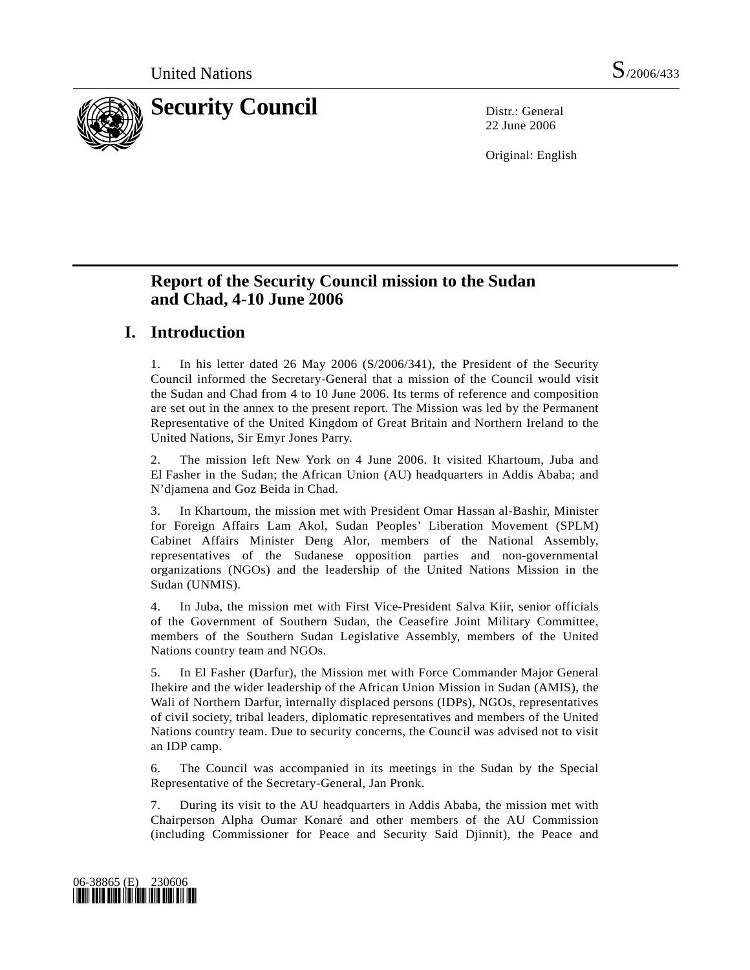

22 June 2006

Original: English

# **Report of the Security Council mission to the Sudan and Chad, 4-10 June 2006**

# **I. Introduction**

1. In his letter dated 26 May 2006 (S/2006/341), the President of the Security Council informed the Secretary-General that a mission of the Council would visit the Sudan and Chad from 4 to 10 June 2006. Its terms of reference and composition are set out in the annex to the present report. The Mission was led by the Permanent Representative of the United Kingdom of Great Britain and Northern Ireland to the United Nations, Sir Emyr Jones Parry.

2. The mission left New York on 4 June 2006. It visited Khartoum, Juba and El Fasher in the Sudan; the African Union (AU) headquarters in Addis Ababa; and N'djamena and Goz Beida in Chad.

3. In Khartoum, the mission met with President Omar Hassan al-Bashir, Minister for Foreign Affairs Lam Akol, Sudan Peoples' Liberation Movement (SPLM) Cabinet Affairs Minister Deng Alor, members of the National Assembly, representatives of the Sudanese opposition parties and non-governmental organizations (NGOs) and the leadership of the United Nations Mission in the Sudan (UNMIS).

4. In Juba, the mission met with First Vice-President Salva Kiir, senior officials of the Government of Southern Sudan, the Ceasefire Joint Military Committee, members of the Southern Sudan Legislative Assembly, members of the United Nations country team and NGOs.

5. In El Fasher (Darfur), the Mission met with Force Commander Major General Ihekire and the wider leadership of the African Union Mission in Sudan (AMIS), the Wali of Northern Darfur, internally displaced persons (IDPs), NGOs, representatives of civil society, tribal leaders, diplomatic representatives and members of the United Nations country team. Due to security concerns, the Council was advised not to visit an IDP camp.

6. The Council was accompanied in its meetings in the Sudan by the Special Representative of the Secretary-General, Jan Pronk.

7. During its visit to the AU headquarters in Addis Ababa, the mission met with Chairperson Alpha Oumar Konaré and other members of the AU Commission (including Commissioner for Peace and Security Said Djinnit), the Peace and

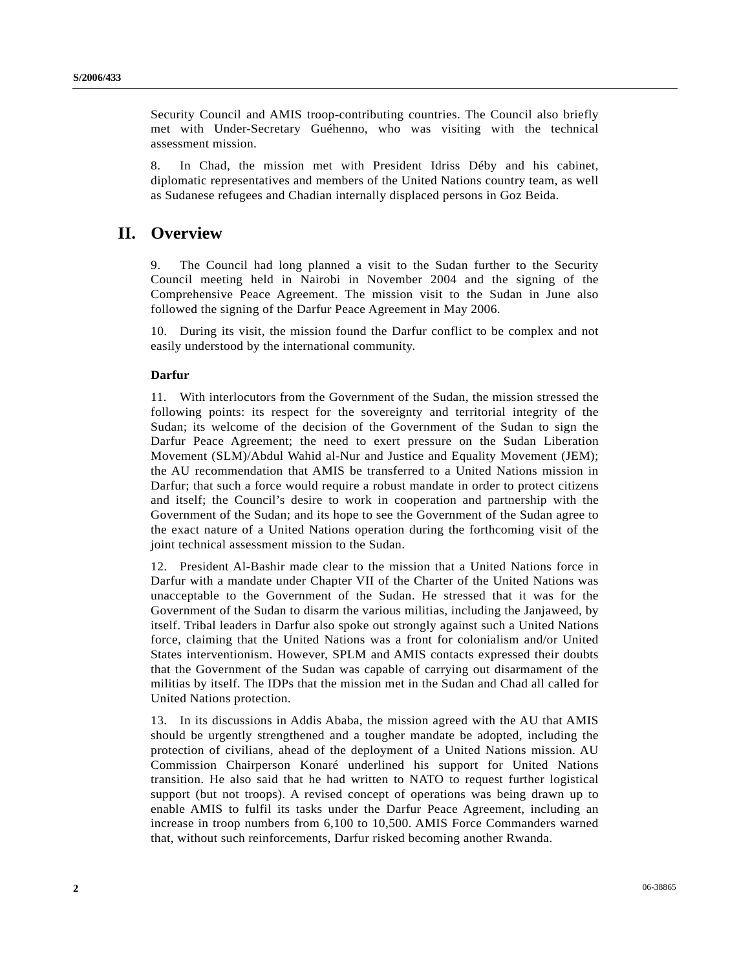Security Council and AMIS troop-contributing countries. The Council also briefly met with Under-Secretary Guéhenno, who was visiting with the technical assessment mission.

8. In Chad, the mission met with President Idriss Déby and his cabinet, diplomatic representatives and members of the United Nations country team, as well as Sudanese refugees and Chadian internally displaced persons in Goz Beida.

# **II. Overview**

9. The Council had long planned a visit to the Sudan further to the Security Council meeting held in Nairobi in November 2004 and the signing of the Comprehensive Peace Agreement. The mission visit to the Sudan in June also followed the signing of the Darfur Peace Agreement in May 2006.

10. During its visit, the mission found the Darfur conflict to be complex and not easily understood by the international community.

### **Darfur**

11. With interlocutors from the Government of the Sudan, the mission stressed the following points: its respect for the sovereignty and territorial integrity of the Sudan; its welcome of the decision of the Government of the Sudan to sign the Darfur Peace Agreement; the need to exert pressure on the Sudan Liberation Movement (SLM)/Abdul Wahid al-Nur and Justice and Equality Movement (JEM); the AU recommendation that AMIS be transferred to a United Nations mission in Darfur; that such a force would require a robust mandate in order to protect citizens and itself; the Council's desire to work in cooperation and partnership with the Government of the Sudan; and its hope to see the Government of the Sudan agree to the exact nature of a United Nations operation during the forthcoming visit of the joint technical assessment mission to the Sudan.

12. President Al-Bashir made clear to the mission that a United Nations force in Darfur with a mandate under Chapter VII of the Charter of the United Nations was unacceptable to the Government of the Sudan. He stressed that it was for the Government of the Sudan to disarm the various militias, including the Janjaweed, by itself. Tribal leaders in Darfur also spoke out strongly against such a United Nations force, claiming that the United Nations was a front for colonialism and/or United States interventionism. However, SPLM and AMIS contacts expressed their doubts that the Government of the Sudan was capable of carrying out disarmament of the militias by itself. The IDPs that the mission met in the Sudan and Chad all called for United Nations protection.

13. In its discussions in Addis Ababa, the mission agreed with the AU that AMIS should be urgently strengthened and a tougher mandate be adopted, including the protection of civilians, ahead of the deployment of a United Nations mission. AU Commission Chairperson Konaré underlined his support for United Nations transition. He also said that he had written to NATO to request further logistical support (but not troops). A revised concept of operations was being drawn up to enable AMIS to fulfil its tasks under the Darfur Peace Agreement, including an increase in troop numbers from 6,100 to 10,500. AMIS Force Commanders warned that, without such reinforcements, Darfur risked becoming another Rwanda.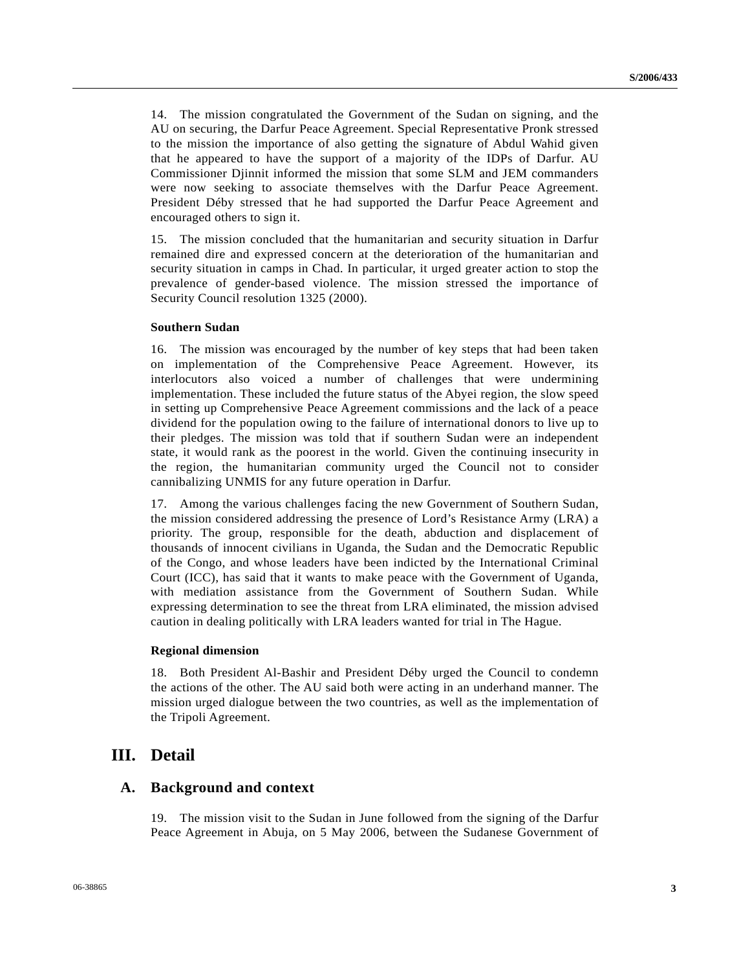14. The mission congratulated the Government of the Sudan on signing, and the AU on securing, the Darfur Peace Agreement. Special Representative Pronk stressed to the mission the importance of also getting the signature of Abdul Wahid given that he appeared to have the support of a majority of the IDPs of Darfur. AU Commissioner Djinnit informed the mission that some SLM and JEM commanders were now seeking to associate themselves with the Darfur Peace Agreement. President Déby stressed that he had supported the Darfur Peace Agreement and encouraged others to sign it.

15. The mission concluded that the humanitarian and security situation in Darfur remained dire and expressed concern at the deterioration of the humanitarian and security situation in camps in Chad. In particular, it urged greater action to stop the prevalence of gender-based violence. The mission stressed the importance of Security Council resolution 1325 (2000).

#### **Southern Sudan**

16. The mission was encouraged by the number of key steps that had been taken on implementation of the Comprehensive Peace Agreement. However, its interlocutors also voiced a number of challenges that were undermining implementation. These included the future status of the Abyei region, the slow speed in setting up Comprehensive Peace Agreement commissions and the lack of a peace dividend for the population owing to the failure of international donors to live up to their pledges. The mission was told that if southern Sudan were an independent state, it would rank as the poorest in the world. Given the continuing insecurity in the region, the humanitarian community urged the Council not to consider cannibalizing UNMIS for any future operation in Darfur.

17. Among the various challenges facing the new Government of Southern Sudan, the mission considered addressing the presence of Lord's Resistance Army (LRA) a priority. The group, responsible for the death, abduction and displacement of thousands of innocent civilians in Uganda, the Sudan and the Democratic Republic of the Congo, and whose leaders have been indicted by the International Criminal Court (ICC), has said that it wants to make peace with the Government of Uganda, with mediation assistance from the Government of Southern Sudan. While expressing determination to see the threat from LRA eliminated, the mission advised caution in dealing politically with LRA leaders wanted for trial in The Hague.

#### **Regional dimension**

18. Both President Al-Bashir and President Déby urged the Council to condemn the actions of the other. The AU said both were acting in an underhand manner. The mission urged dialogue between the two countries, as well as the implementation of the Tripoli Agreement.

# **III. Detail**

## **A. Background and context**

19. The mission visit to the Sudan in June followed from the signing of the Darfur Peace Agreement in Abuja, on 5 May 2006, between the Sudanese Government of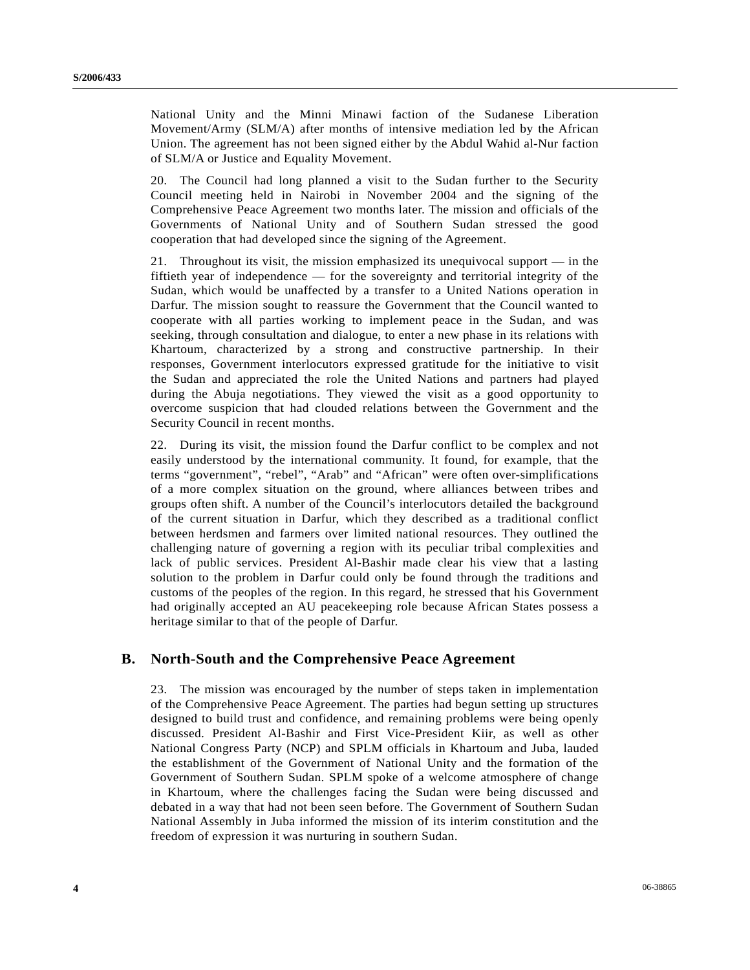National Unity and the Minni Minawi faction of the Sudanese Liberation Movement/Army (SLM/A) after months of intensive mediation led by the African Union. The agreement has not been signed either by the Abdul Wahid al-Nur faction of SLM/A or Justice and Equality Movement.

20. The Council had long planned a visit to the Sudan further to the Security Council meeting held in Nairobi in November 2004 and the signing of the Comprehensive Peace Agreement two months later. The mission and officials of the Governments of National Unity and of Southern Sudan stressed the good cooperation that had developed since the signing of the Agreement.

21. Throughout its visit, the mission emphasized its unequivocal support — in the fiftieth year of independence — for the sovereignty and territorial integrity of the Sudan, which would be unaffected by a transfer to a United Nations operation in Darfur. The mission sought to reassure the Government that the Council wanted to cooperate with all parties working to implement peace in the Sudan, and was seeking, through consultation and dialogue, to enter a new phase in its relations with Khartoum, characterized by a strong and constructive partnership. In their responses, Government interlocutors expressed gratitude for the initiative to visit the Sudan and appreciated the role the United Nations and partners had played during the Abuja negotiations. They viewed the visit as a good opportunity to overcome suspicion that had clouded relations between the Government and the Security Council in recent months.

22. During its visit, the mission found the Darfur conflict to be complex and not easily understood by the international community. It found, for example, that the terms "government", "rebel", "Arab" and "African" were often over-simplifications of a more complex situation on the ground, where alliances between tribes and groups often shift. A number of the Council's interlocutors detailed the background of the current situation in Darfur, which they described as a traditional conflict between herdsmen and farmers over limited national resources. They outlined the challenging nature of governing a region with its peculiar tribal complexities and lack of public services. President Al-Bashir made clear his view that a lasting solution to the problem in Darfur could only be found through the traditions and customs of the peoples of the region. In this regard, he stressed that his Government had originally accepted an AU peacekeeping role because African States possess a heritage similar to that of the people of Darfur.

# **B. North-South and the Comprehensive Peace Agreement**

23. The mission was encouraged by the number of steps taken in implementation of the Comprehensive Peace Agreement. The parties had begun setting up structures designed to build trust and confidence, and remaining problems were being openly discussed. President Al-Bashir and First Vice-President Kiir, as well as other National Congress Party (NCP) and SPLM officials in Khartoum and Juba, lauded the establishment of the Government of National Unity and the formation of the Government of Southern Sudan. SPLM spoke of a welcome atmosphere of change in Khartoum, where the challenges facing the Sudan were being discussed and debated in a way that had not been seen before. The Government of Southern Sudan National Assembly in Juba informed the mission of its interim constitution and the freedom of expression it was nurturing in southern Sudan.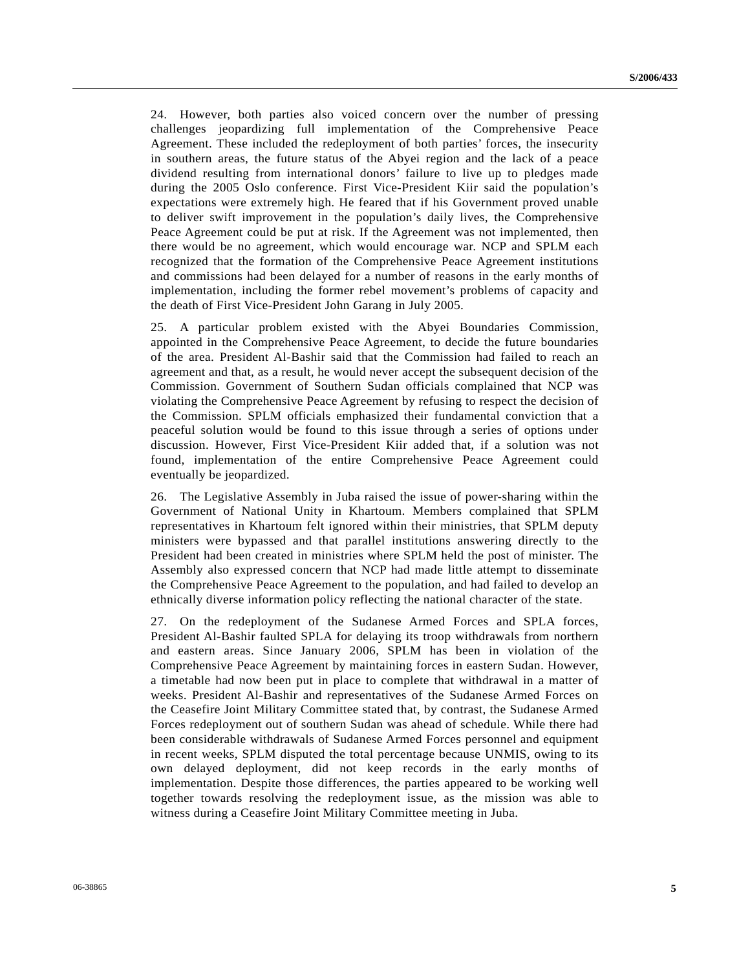24. However, both parties also voiced concern over the number of pressing challenges jeopardizing full implementation of the Comprehensive Peace Agreement. These included the redeployment of both parties' forces, the insecurity in southern areas, the future status of the Abyei region and the lack of a peace dividend resulting from international donors' failure to live up to pledges made during the 2005 Oslo conference. First Vice-President Kiir said the population's expectations were extremely high. He feared that if his Government proved unable to deliver swift improvement in the population's daily lives, the Comprehensive Peace Agreement could be put at risk. If the Agreement was not implemented, then there would be no agreement, which would encourage war. NCP and SPLM each recognized that the formation of the Comprehensive Peace Agreement institutions and commissions had been delayed for a number of reasons in the early months of implementation, including the former rebel movement's problems of capacity and the death of First Vice-President John Garang in July 2005.

25. A particular problem existed with the Abyei Boundaries Commission, appointed in the Comprehensive Peace Agreement, to decide the future boundaries of the area. President Al-Bashir said that the Commission had failed to reach an agreement and that, as a result, he would never accept the subsequent decision of the Commission. Government of Southern Sudan officials complained that NCP was violating the Comprehensive Peace Agreement by refusing to respect the decision of the Commission. SPLM officials emphasized their fundamental conviction that a peaceful solution would be found to this issue through a series of options under discussion. However, First Vice-President Kiir added that, if a solution was not found, implementation of the entire Comprehensive Peace Agreement could eventually be jeopardized.

26. The Legislative Assembly in Juba raised the issue of power-sharing within the Government of National Unity in Khartoum. Members complained that SPLM representatives in Khartoum felt ignored within their ministries, that SPLM deputy ministers were bypassed and that parallel institutions answering directly to the President had been created in ministries where SPLM held the post of minister. The Assembly also expressed concern that NCP had made little attempt to disseminate the Comprehensive Peace Agreement to the population, and had failed to develop an ethnically diverse information policy reflecting the national character of the state.

27. On the redeployment of the Sudanese Armed Forces and SPLA forces, President Al-Bashir faulted SPLA for delaying its troop withdrawals from northern and eastern areas. Since January 2006, SPLM has been in violation of the Comprehensive Peace Agreement by maintaining forces in eastern Sudan. However, a timetable had now been put in place to complete that withdrawal in a matter of weeks. President Al-Bashir and representatives of the Sudanese Armed Forces on the Ceasefire Joint Military Committee stated that, by contrast, the Sudanese Armed Forces redeployment out of southern Sudan was ahead of schedule. While there had been considerable withdrawals of Sudanese Armed Forces personnel and equipment in recent weeks, SPLM disputed the total percentage because UNMIS, owing to its own delayed deployment, did not keep records in the early months of implementation. Despite those differences, the parties appeared to be working well together towards resolving the redeployment issue, as the mission was able to witness during a Ceasefire Joint Military Committee meeting in Juba.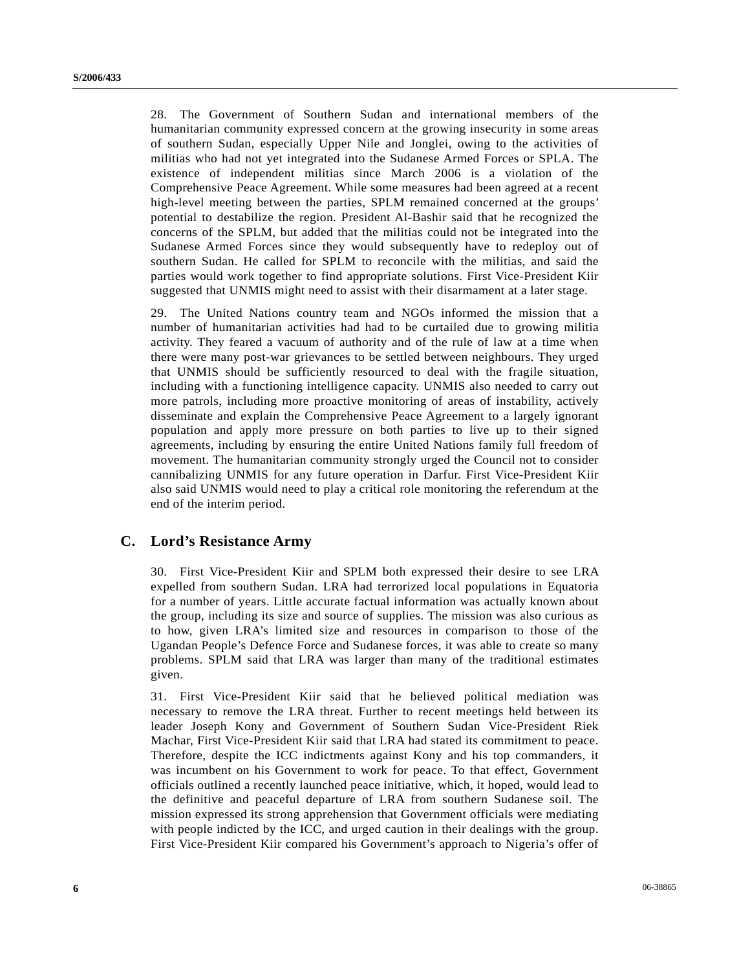28. The Government of Southern Sudan and international members of the humanitarian community expressed concern at the growing insecurity in some areas of southern Sudan, especially Upper Nile and Jonglei, owing to the activities of militias who had not yet integrated into the Sudanese Armed Forces or SPLA. The existence of independent militias since March 2006 is a violation of the Comprehensive Peace Agreement. While some measures had been agreed at a recent high-level meeting between the parties, SPLM remained concerned at the groups' potential to destabilize the region. President Al-Bashir said that he recognized the concerns of the SPLM, but added that the militias could not be integrated into the Sudanese Armed Forces since they would subsequently have to redeploy out of southern Sudan. He called for SPLM to reconcile with the militias, and said the parties would work together to find appropriate solutions. First Vice-President Kiir suggested that UNMIS might need to assist with their disarmament at a later stage.

29. The United Nations country team and NGOs informed the mission that a number of humanitarian activities had had to be curtailed due to growing militia activity. They feared a vacuum of authority and of the rule of law at a time when there were many post-war grievances to be settled between neighbours. They urged that UNMIS should be sufficiently resourced to deal with the fragile situation, including with a functioning intelligence capacity. UNMIS also needed to carry out more patrols, including more proactive monitoring of areas of instability, actively disseminate and explain the Comprehensive Peace Agreement to a largely ignorant population and apply more pressure on both parties to live up to their signed agreements, including by ensuring the entire United Nations family full freedom of movement. The humanitarian community strongly urged the Council not to consider cannibalizing UNMIS for any future operation in Darfur. First Vice-President Kiir also said UNMIS would need to play a critical role monitoring the referendum at the end of the interim period.

### **C. Lord's Resistance Army**

30. First Vice-President Kiir and SPLM both expressed their desire to see LRA expelled from southern Sudan. LRA had terrorized local populations in Equatoria for a number of years. Little accurate factual information was actually known about the group, including its size and source of supplies. The mission was also curious as to how, given LRA's limited size and resources in comparison to those of the Ugandan People's Defence Force and Sudanese forces, it was able to create so many problems. SPLM said that LRA was larger than many of the traditional estimates given.

31. First Vice-President Kiir said that he believed political mediation was necessary to remove the LRA threat. Further to recent meetings held between its leader Joseph Kony and Government of Southern Sudan Vice-President Riek Machar, First Vice-President Kiir said that LRA had stated its commitment to peace. Therefore, despite the ICC indictments against Kony and his top commanders, it was incumbent on his Government to work for peace. To that effect, Government officials outlined a recently launched peace initiative, which, it hoped, would lead to the definitive and peaceful departure of LRA from southern Sudanese soil. The mission expressed its strong apprehension that Government officials were mediating with people indicted by the ICC, and urged caution in their dealings with the group. First Vice-President Kiir compared his Government's approach to Nigeria's offer of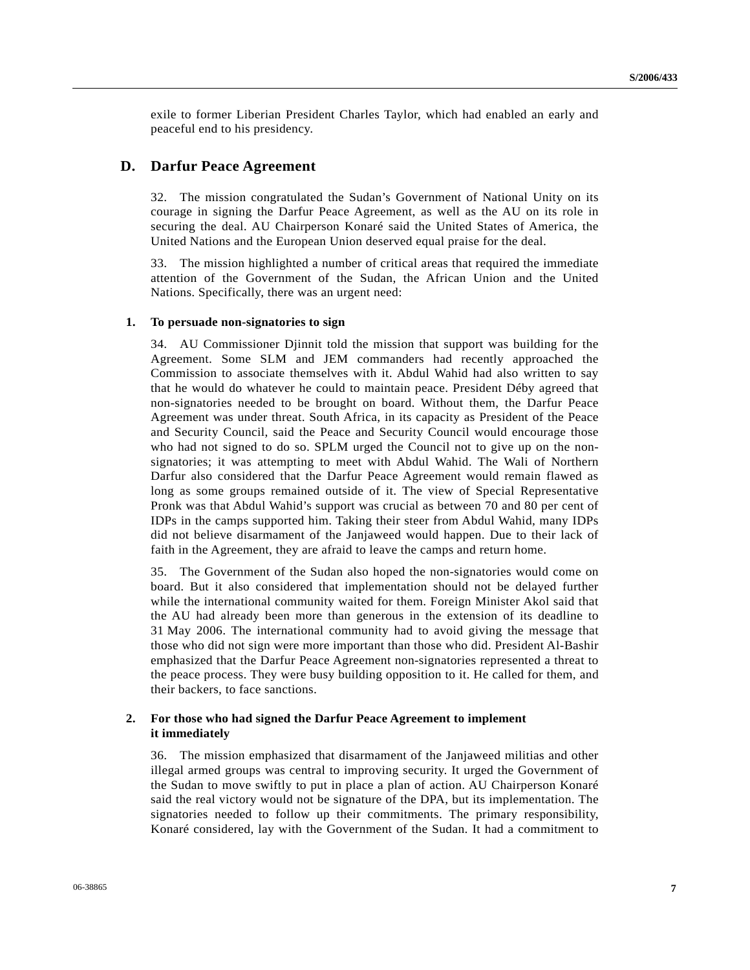exile to former Liberian President Charles Taylor, which had enabled an early and peaceful end to his presidency.

### **D. Darfur Peace Agreement**

32. The mission congratulated the Sudan's Government of National Unity on its courage in signing the Darfur Peace Agreement, as well as the AU on its role in securing the deal. AU Chairperson Konaré said the United States of America, the United Nations and the European Union deserved equal praise for the deal.

33. The mission highlighted a number of critical areas that required the immediate attention of the Government of the Sudan, the African Union and the United Nations. Specifically, there was an urgent need:

### **1. To persuade non-signatories to sign**

34. AU Commissioner Djinnit told the mission that support was building for the Agreement. Some SLM and JEM commanders had recently approached the Commission to associate themselves with it. Abdul Wahid had also written to say that he would do whatever he could to maintain peace. President Déby agreed that non-signatories needed to be brought on board. Without them, the Darfur Peace Agreement was under threat. South Africa, in its capacity as President of the Peace and Security Council, said the Peace and Security Council would encourage those who had not signed to do so. SPLM urged the Council not to give up on the nonsignatories; it was attempting to meet with Abdul Wahid. The Wali of Northern Darfur also considered that the Darfur Peace Agreement would remain flawed as long as some groups remained outside of it. The view of Special Representative Pronk was that Abdul Wahid's support was crucial as between 70 and 80 per cent of IDPs in the camps supported him. Taking their steer from Abdul Wahid, many IDPs did not believe disarmament of the Janjaweed would happen. Due to their lack of faith in the Agreement, they are afraid to leave the camps and return home.

35. The Government of the Sudan also hoped the non-signatories would come on board. But it also considered that implementation should not be delayed further while the international community waited for them. Foreign Minister Akol said that the AU had already been more than generous in the extension of its deadline to 31 May 2006. The international community had to avoid giving the message that those who did not sign were more important than those who did. President Al-Bashir emphasized that the Darfur Peace Agreement non-signatories represented a threat to the peace process. They were busy building opposition to it. He called for them, and their backers, to face sanctions.

#### **2. For those who had signed the Darfur Peace Agreement to implement it immediately**

36. The mission emphasized that disarmament of the Janjaweed militias and other illegal armed groups was central to improving security. It urged the Government of the Sudan to move swiftly to put in place a plan of action. AU Chairperson Konaré said the real victory would not be signature of the DPA, but its implementation. The signatories needed to follow up their commitments. The primary responsibility, Konaré considered, lay with the Government of the Sudan. It had a commitment to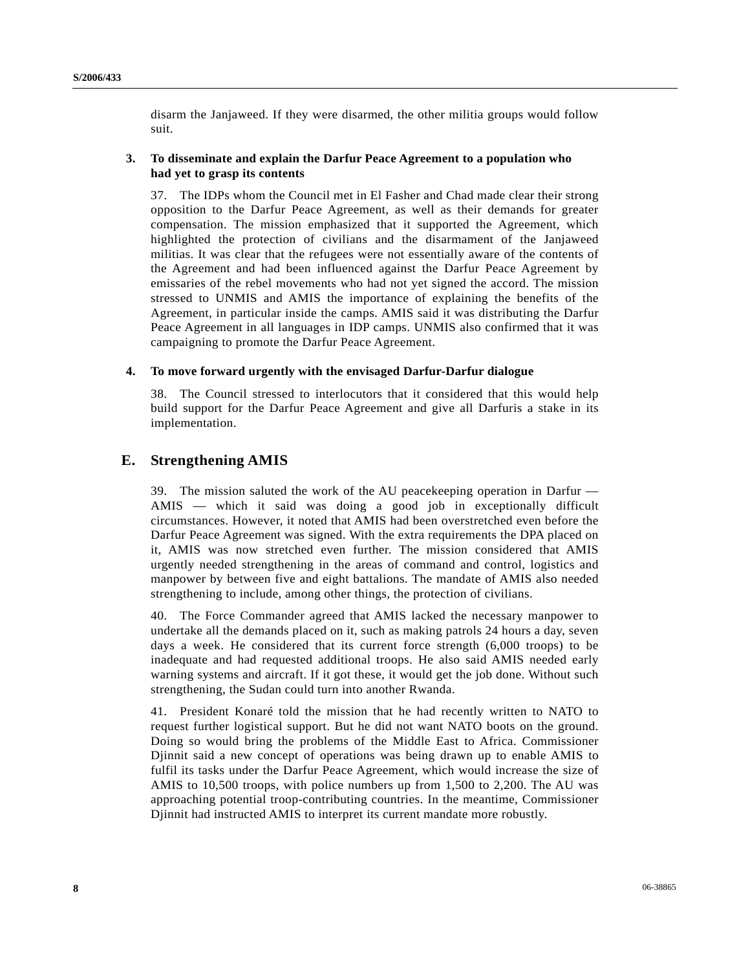disarm the Janjaweed. If they were disarmed, the other militia groups would follow suit.

### **3. To disseminate and explain the Darfur Peace Agreement to a population who had yet to grasp its contents**

37. The IDPs whom the Council met in El Fasher and Chad made clear their strong opposition to the Darfur Peace Agreement, as well as their demands for greater compensation. The mission emphasized that it supported the Agreement, which highlighted the protection of civilians and the disarmament of the Janjaweed militias. It was clear that the refugees were not essentially aware of the contents of the Agreement and had been influenced against the Darfur Peace Agreement by emissaries of the rebel movements who had not yet signed the accord. The mission stressed to UNMIS and AMIS the importance of explaining the benefits of the Agreement, in particular inside the camps. AMIS said it was distributing the Darfur Peace Agreement in all languages in IDP camps. UNMIS also confirmed that it was campaigning to promote the Darfur Peace Agreement.

### **4. To move forward urgently with the envisaged Darfur-Darfur dialogue**

38. The Council stressed to interlocutors that it considered that this would help build support for the Darfur Peace Agreement and give all Darfuris a stake in its implementation.

# **E. Strengthening AMIS**

39. The mission saluted the work of the AU peacekeeping operation in Darfur — AMIS — which it said was doing a good job in exceptionally difficult circumstances. However, it noted that AMIS had been overstretched even before the Darfur Peace Agreement was signed. With the extra requirements the DPA placed on it, AMIS was now stretched even further. The mission considered that AMIS urgently needed strengthening in the areas of command and control, logistics and manpower by between five and eight battalions. The mandate of AMIS also needed strengthening to include, among other things, the protection of civilians.

40. The Force Commander agreed that AMIS lacked the necessary manpower to undertake all the demands placed on it, such as making patrols 24 hours a day, seven days a week. He considered that its current force strength (6,000 troops) to be inadequate and had requested additional troops. He also said AMIS needed early warning systems and aircraft. If it got these, it would get the job done. Without such strengthening, the Sudan could turn into another Rwanda.

41. President Konaré told the mission that he had recently written to NATO to request further logistical support. But he did not want NATO boots on the ground. Doing so would bring the problems of the Middle East to Africa. Commissioner Djinnit said a new concept of operations was being drawn up to enable AMIS to fulfil its tasks under the Darfur Peace Agreement, which would increase the size of AMIS to 10,500 troops, with police numbers up from 1,500 to 2,200. The AU was approaching potential troop-contributing countries. In the meantime, Commissioner Djinnit had instructed AMIS to interpret its current mandate more robustly.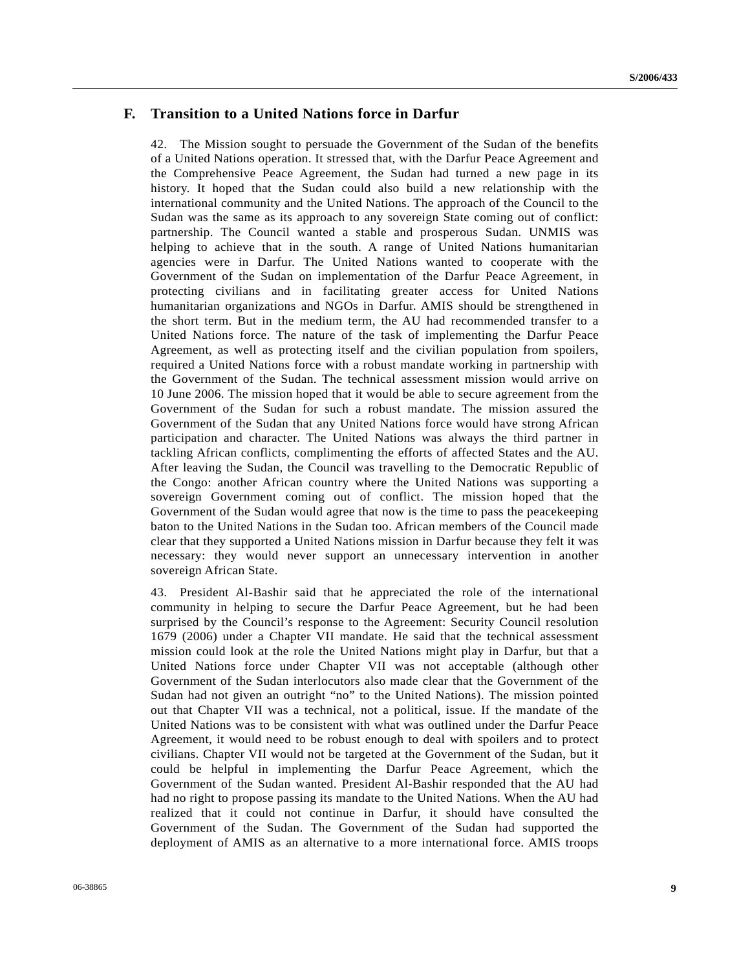# **F. Transition to a United Nations force in Darfur**

42. The Mission sought to persuade the Government of the Sudan of the benefits of a United Nations operation. It stressed that, with the Darfur Peace Agreement and the Comprehensive Peace Agreement, the Sudan had turned a new page in its history. It hoped that the Sudan could also build a new relationship with the international community and the United Nations. The approach of the Council to the Sudan was the same as its approach to any sovereign State coming out of conflict: partnership. The Council wanted a stable and prosperous Sudan. UNMIS was helping to achieve that in the south. A range of United Nations humanitarian agencies were in Darfur. The United Nations wanted to cooperate with the Government of the Sudan on implementation of the Darfur Peace Agreement, in protecting civilians and in facilitating greater access for United Nations humanitarian organizations and NGOs in Darfur. AMIS should be strengthened in the short term. But in the medium term, the AU had recommended transfer to a United Nations force. The nature of the task of implementing the Darfur Peace Agreement, as well as protecting itself and the civilian population from spoilers, required a United Nations force with a robust mandate working in partnership with the Government of the Sudan. The technical assessment mission would arrive on 10 June 2006. The mission hoped that it would be able to secure agreement from the Government of the Sudan for such a robust mandate. The mission assured the Government of the Sudan that any United Nations force would have strong African participation and character. The United Nations was always the third partner in tackling African conflicts, complimenting the efforts of affected States and the AU. After leaving the Sudan, the Council was travelling to the Democratic Republic of the Congo: another African country where the United Nations was supporting a sovereign Government coming out of conflict. The mission hoped that the Government of the Sudan would agree that now is the time to pass the peacekeeping baton to the United Nations in the Sudan too. African members of the Council made clear that they supported a United Nations mission in Darfur because they felt it was necessary: they would never support an unnecessary intervention in another sovereign African State.

43. President Al-Bashir said that he appreciated the role of the international community in helping to secure the Darfur Peace Agreement, but he had been surprised by the Council's response to the Agreement: Security Council resolution 1679 (2006) under a Chapter VII mandate. He said that the technical assessment mission could look at the role the United Nations might play in Darfur, but that a United Nations force under Chapter VII was not acceptable (although other Government of the Sudan interlocutors also made clear that the Government of the Sudan had not given an outright "no" to the United Nations). The mission pointed out that Chapter VII was a technical, not a political, issue. If the mandate of the United Nations was to be consistent with what was outlined under the Darfur Peace Agreement, it would need to be robust enough to deal with spoilers and to protect civilians. Chapter VII would not be targeted at the Government of the Sudan, but it could be helpful in implementing the Darfur Peace Agreement, which the Government of the Sudan wanted. President Al-Bashir responded that the AU had had no right to propose passing its mandate to the United Nations. When the AU had realized that it could not continue in Darfur, it should have consulted the Government of the Sudan. The Government of the Sudan had supported the deployment of AMIS as an alternative to a more international force. AMIS troops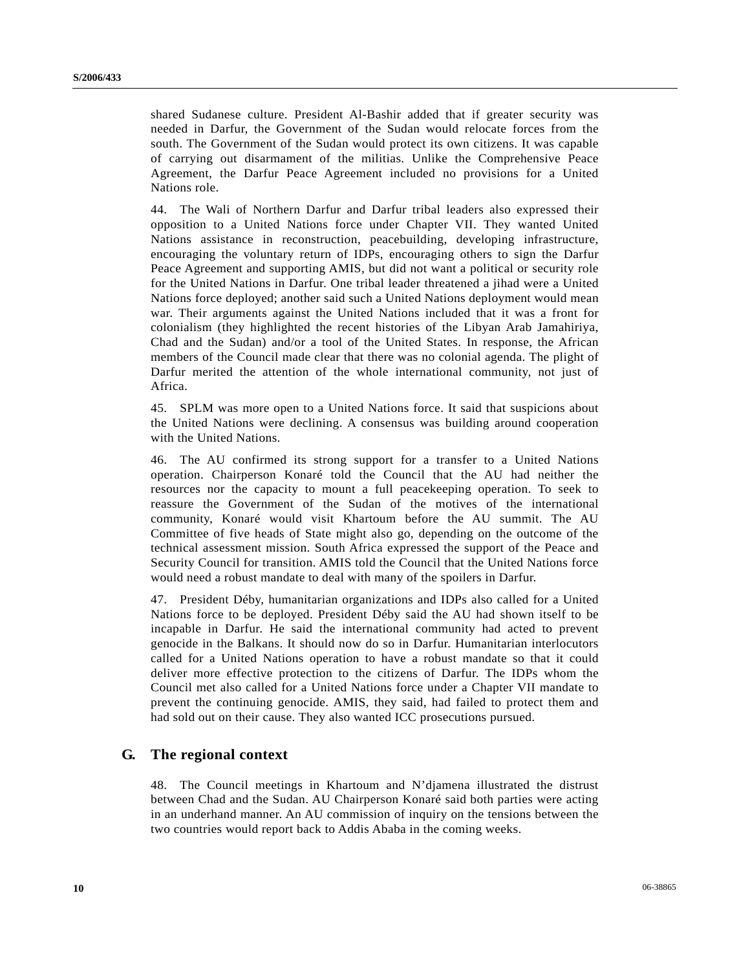shared Sudanese culture. President Al-Bashir added that if greater security was needed in Darfur, the Government of the Sudan would relocate forces from the south. The Government of the Sudan would protect its own citizens. It was capable of carrying out disarmament of the militias. Unlike the Comprehensive Peace Agreement, the Darfur Peace Agreement included no provisions for a United Nations role.

44. The Wali of Northern Darfur and Darfur tribal leaders also expressed their opposition to a United Nations force under Chapter VII. They wanted United Nations assistance in reconstruction, peacebuilding, developing infrastructure, encouraging the voluntary return of IDPs, encouraging others to sign the Darfur Peace Agreement and supporting AMIS, but did not want a political or security role for the United Nations in Darfur. One tribal leader threatened a jihad were a United Nations force deployed; another said such a United Nations deployment would mean war. Their arguments against the United Nations included that it was a front for colonialism (they highlighted the recent histories of the Libyan Arab Jamahiriya, Chad and the Sudan) and/or a tool of the United States. In response, the African members of the Council made clear that there was no colonial agenda. The plight of Darfur merited the attention of the whole international community, not just of Africa.

45. SPLM was more open to a United Nations force. It said that suspicions about the United Nations were declining. A consensus was building around cooperation with the United Nations.

46. The AU confirmed its strong support for a transfer to a United Nations operation. Chairperson Konaré told the Council that the AU had neither the resources nor the capacity to mount a full peacekeeping operation. To seek to reassure the Government of the Sudan of the motives of the international community, Konaré would visit Khartoum before the AU summit. The AU Committee of five heads of State might also go, depending on the outcome of the technical assessment mission. South Africa expressed the support of the Peace and Security Council for transition. AMIS told the Council that the United Nations force would need a robust mandate to deal with many of the spoilers in Darfur.

47. President Déby, humanitarian organizations and IDPs also called for a United Nations force to be deployed. President Déby said the AU had shown itself to be incapable in Darfur. He said the international community had acted to prevent genocide in the Balkans. It should now do so in Darfur. Humanitarian interlocutors called for a United Nations operation to have a robust mandate so that it could deliver more effective protection to the citizens of Darfur. The IDPs whom the Council met also called for a United Nations force under a Chapter VII mandate to prevent the continuing genocide. AMIS, they said, had failed to protect them and had sold out on their cause. They also wanted ICC prosecutions pursued.

# **G. The regional context**

48. The Council meetings in Khartoum and N'djamena illustrated the distrust between Chad and the Sudan. AU Chairperson Konaré said both parties were acting in an underhand manner. An AU commission of inquiry on the tensions between the two countries would report back to Addis Ababa in the coming weeks.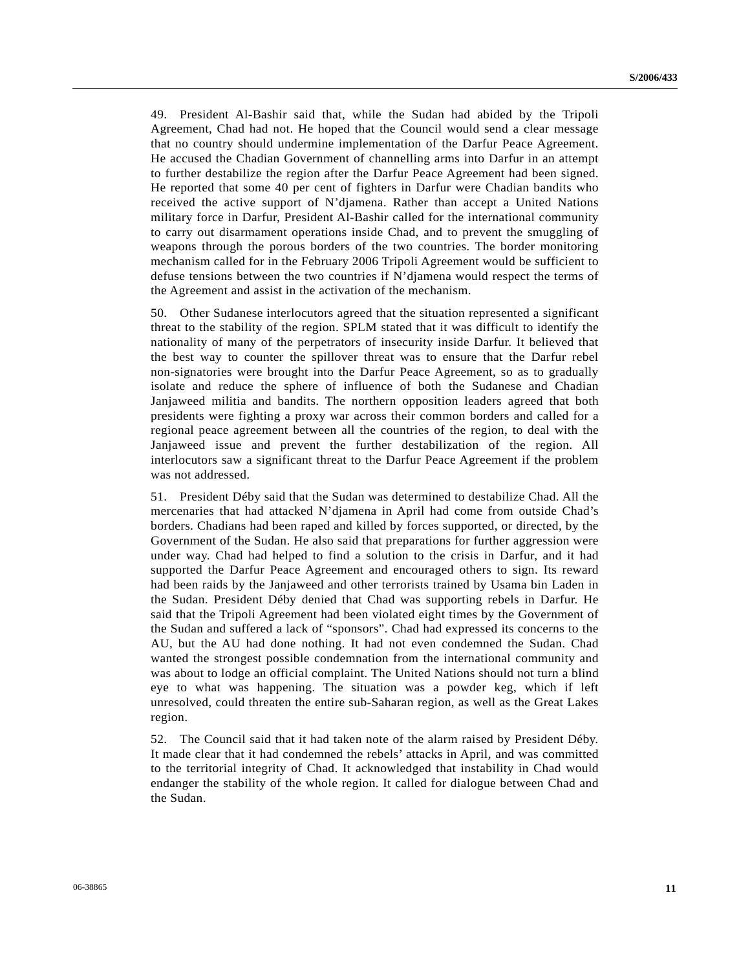49. President Al-Bashir said that, while the Sudan had abided by the Tripoli Agreement, Chad had not. He hoped that the Council would send a clear message that no country should undermine implementation of the Darfur Peace Agreement. He accused the Chadian Government of channelling arms into Darfur in an attempt to further destabilize the region after the Darfur Peace Agreement had been signed. He reported that some 40 per cent of fighters in Darfur were Chadian bandits who received the active support of N'djamena. Rather than accept a United Nations military force in Darfur, President Al-Bashir called for the international community to carry out disarmament operations inside Chad, and to prevent the smuggling of weapons through the porous borders of the two countries. The border monitoring mechanism called for in the February 2006 Tripoli Agreement would be sufficient to defuse tensions between the two countries if N'djamena would respect the terms of the Agreement and assist in the activation of the mechanism.

50. Other Sudanese interlocutors agreed that the situation represented a significant threat to the stability of the region. SPLM stated that it was difficult to identify the nationality of many of the perpetrators of insecurity inside Darfur. It believed that the best way to counter the spillover threat was to ensure that the Darfur rebel non-signatories were brought into the Darfur Peace Agreement, so as to gradually isolate and reduce the sphere of influence of both the Sudanese and Chadian Janjaweed militia and bandits. The northern opposition leaders agreed that both presidents were fighting a proxy war across their common borders and called for a regional peace agreement between all the countries of the region, to deal with the Janjaweed issue and prevent the further destabilization of the region. All interlocutors saw a significant threat to the Darfur Peace Agreement if the problem was not addressed.

51. President Déby said that the Sudan was determined to destabilize Chad. All the mercenaries that had attacked N'djamena in April had come from outside Chad's borders. Chadians had been raped and killed by forces supported, or directed, by the Government of the Sudan. He also said that preparations for further aggression were under way. Chad had helped to find a solution to the crisis in Darfur, and it had supported the Darfur Peace Agreement and encouraged others to sign. Its reward had been raids by the Janjaweed and other terrorists trained by Usama bin Laden in the Sudan. President Déby denied that Chad was supporting rebels in Darfur. He said that the Tripoli Agreement had been violated eight times by the Government of the Sudan and suffered a lack of "sponsors". Chad had expressed its concerns to the AU, but the AU had done nothing. It had not even condemned the Sudan. Chad wanted the strongest possible condemnation from the international community and was about to lodge an official complaint. The United Nations should not turn a blind eye to what was happening. The situation was a powder keg, which if left unresolved, could threaten the entire sub-Saharan region, as well as the Great Lakes region.

52. The Council said that it had taken note of the alarm raised by President Déby. It made clear that it had condemned the rebels' attacks in April, and was committed to the territorial integrity of Chad. It acknowledged that instability in Chad would endanger the stability of the whole region. It called for dialogue between Chad and the Sudan.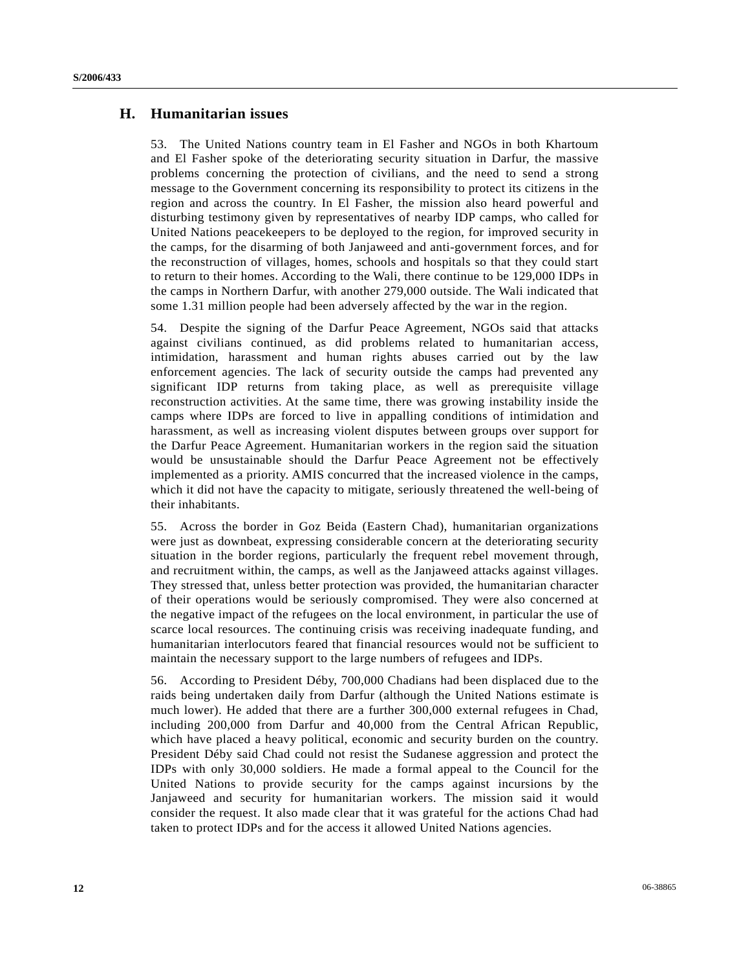# **H. Humanitarian issues**

53. The United Nations country team in El Fasher and NGOs in both Khartoum and El Fasher spoke of the deteriorating security situation in Darfur, the massive problems concerning the protection of civilians, and the need to send a strong message to the Government concerning its responsibility to protect its citizens in the region and across the country. In El Fasher, the mission also heard powerful and disturbing testimony given by representatives of nearby IDP camps, who called for United Nations peacekeepers to be deployed to the region, for improved security in the camps, for the disarming of both Janjaweed and anti-government forces, and for the reconstruction of villages, homes, schools and hospitals so that they could start to return to their homes. According to the Wali, there continue to be 129,000 IDPs in the camps in Northern Darfur, with another 279,000 outside. The Wali indicated that some 1.31 million people had been adversely affected by the war in the region.

54. Despite the signing of the Darfur Peace Agreement, NGOs said that attacks against civilians continued, as did problems related to humanitarian access, intimidation, harassment and human rights abuses carried out by the law enforcement agencies. The lack of security outside the camps had prevented any significant IDP returns from taking place, as well as prerequisite village reconstruction activities. At the same time, there was growing instability inside the camps where IDPs are forced to live in appalling conditions of intimidation and harassment, as well as increasing violent disputes between groups over support for the Darfur Peace Agreement. Humanitarian workers in the region said the situation would be unsustainable should the Darfur Peace Agreement not be effectively implemented as a priority. AMIS concurred that the increased violence in the camps, which it did not have the capacity to mitigate, seriously threatened the well-being of their inhabitants.

55. Across the border in Goz Beida (Eastern Chad), humanitarian organizations were just as downbeat, expressing considerable concern at the deteriorating security situation in the border regions, particularly the frequent rebel movement through, and recruitment within, the camps, as well as the Janjaweed attacks against villages. They stressed that, unless better protection was provided, the humanitarian character of their operations would be seriously compromised. They were also concerned at the negative impact of the refugees on the local environment, in particular the use of scarce local resources. The continuing crisis was receiving inadequate funding, and humanitarian interlocutors feared that financial resources would not be sufficient to maintain the necessary support to the large numbers of refugees and IDPs.

56. According to President Déby, 700,000 Chadians had been displaced due to the raids being undertaken daily from Darfur (although the United Nations estimate is much lower). He added that there are a further 300,000 external refugees in Chad, including 200,000 from Darfur and 40,000 from the Central African Republic, which have placed a heavy political, economic and security burden on the country. President Déby said Chad could not resist the Sudanese aggression and protect the IDPs with only 30,000 soldiers. He made a formal appeal to the Council for the United Nations to provide security for the camps against incursions by the Janjaweed and security for humanitarian workers. The mission said it would consider the request. It also made clear that it was grateful for the actions Chad had taken to protect IDPs and for the access it allowed United Nations agencies.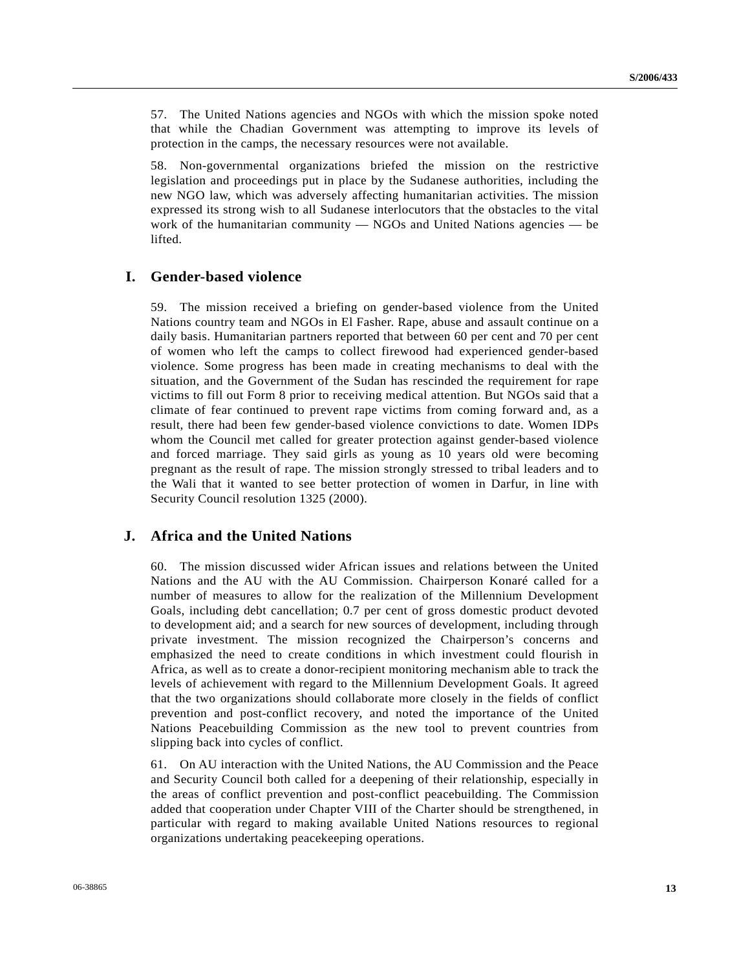57. The United Nations agencies and NGOs with which the mission spoke noted that while the Chadian Government was attempting to improve its levels of protection in the camps, the necessary resources were not available.

58. Non-governmental organizations briefed the mission on the restrictive legislation and proceedings put in place by the Sudanese authorities, including the new NGO law, which was adversely affecting humanitarian activities. The mission expressed its strong wish to all Sudanese interlocutors that the obstacles to the vital work of the humanitarian community — NGOs and United Nations agencies — be lifted.

# **I. Gender-based violence**

59. The mission received a briefing on gender-based violence from the United Nations country team and NGOs in El Fasher. Rape, abuse and assault continue on a daily basis. Humanitarian partners reported that between 60 per cent and 70 per cent of women who left the camps to collect firewood had experienced gender-based violence. Some progress has been made in creating mechanisms to deal with the situation, and the Government of the Sudan has rescinded the requirement for rape victims to fill out Form 8 prior to receiving medical attention. But NGOs said that a climate of fear continued to prevent rape victims from coming forward and, as a result, there had been few gender-based violence convictions to date. Women IDPs whom the Council met called for greater protection against gender-based violence and forced marriage. They said girls as young as 10 years old were becoming pregnant as the result of rape. The mission strongly stressed to tribal leaders and to the Wali that it wanted to see better protection of women in Darfur, in line with Security Council resolution 1325 (2000).

## **J. Africa and the United Nations**

60. The mission discussed wider African issues and relations between the United Nations and the AU with the AU Commission. Chairperson Konaré called for a number of measures to allow for the realization of the Millennium Development Goals, including debt cancellation; 0.7 per cent of gross domestic product devoted to development aid; and a search for new sources of development, including through private investment. The mission recognized the Chairperson's concerns and emphasized the need to create conditions in which investment could flourish in Africa, as well as to create a donor-recipient monitoring mechanism able to track the levels of achievement with regard to the Millennium Development Goals. It agreed that the two organizations should collaborate more closely in the fields of conflict prevention and post-conflict recovery, and noted the importance of the United Nations Peacebuilding Commission as the new tool to prevent countries from slipping back into cycles of conflict.

61. On AU interaction with the United Nations, the AU Commission and the Peace and Security Council both called for a deepening of their relationship, especially in the areas of conflict prevention and post-conflict peacebuilding. The Commission added that cooperation under Chapter VIII of the Charter should be strengthened, in particular with regard to making available United Nations resources to regional organizations undertaking peacekeeping operations.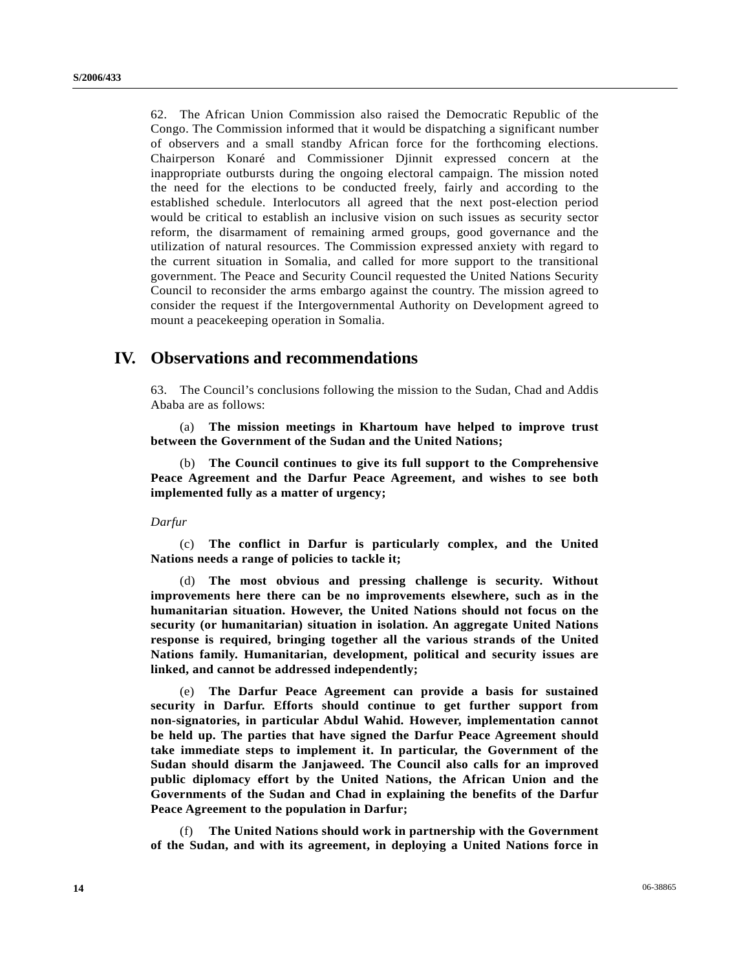62. The African Union Commission also raised the Democratic Republic of the Congo. The Commission informed that it would be dispatching a significant number of observers and a small standby African force for the forthcoming elections. Chairperson Konaré and Commissioner Djinnit expressed concern at the inappropriate outbursts during the ongoing electoral campaign. The mission noted the need for the elections to be conducted freely, fairly and according to the established schedule. Interlocutors all agreed that the next post-election period would be critical to establish an inclusive vision on such issues as security sector reform, the disarmament of remaining armed groups, good governance and the utilization of natural resources. The Commission expressed anxiety with regard to the current situation in Somalia, and called for more support to the transitional government. The Peace and Security Council requested the United Nations Security Council to reconsider the arms embargo against the country. The mission agreed to consider the request if the Intergovernmental Authority on Development agreed to mount a peacekeeping operation in Somalia.

# **IV. Observations and recommendations**

63. The Council's conclusions following the mission to the Sudan, Chad and Addis Ababa are as follows:

 (a) **The mission meetings in Khartoum have helped to improve trust between the Government of the Sudan and the United Nations;**

 (b) **The Council continues to give its full support to the Comprehensive Peace Agreement and the Darfur Peace Agreement, and wishes to see both implemented fully as a matter of urgency;**

#### *Darfur*

 (c) **The conflict in Darfur is particularly complex, and the United Nations needs a range of policies to tackle it;**

 (d) **The most obvious and pressing challenge is security. Without improvements here there can be no improvements elsewhere, such as in the humanitarian situation. However, the United Nations should not focus on the security (or humanitarian) situation in isolation. An aggregate United Nations response is required, bringing together all the various strands of the United Nations family. Humanitarian, development, political and security issues are linked, and cannot be addressed independently;** 

 (e) **The Darfur Peace Agreement can provide a basis for sustained security in Darfur. Efforts should continue to get further support from non-signatories, in particular Abdul Wahid. However, implementation cannot be held up. The parties that have signed the Darfur Peace Agreement should take immediate steps to implement it. In particular, the Government of the Sudan should disarm the Janjaweed. The Council also calls for an improved public diplomacy effort by the United Nations, the African Union and the Governments of the Sudan and Chad in explaining the benefits of the Darfur Peace Agreement to the population in Darfur;**

 (f) **The United Nations should work in partnership with the Government of the Sudan, and with its agreement, in deploying a United Nations force in**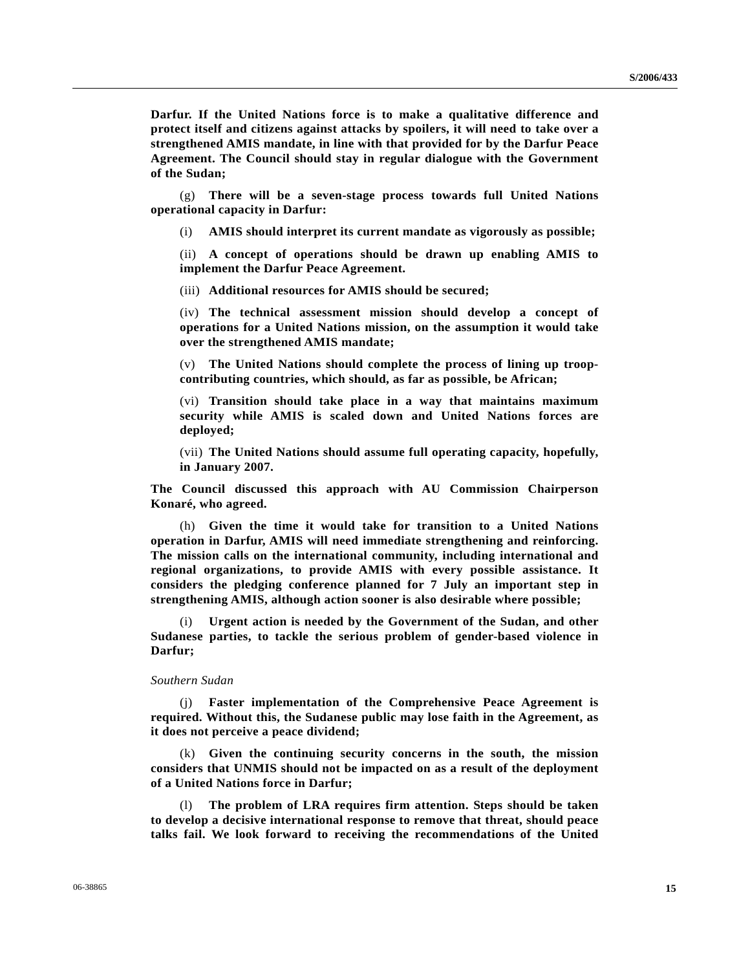**Darfur. If the United Nations force is to make a qualitative difference and protect itself and citizens against attacks by spoilers, it will need to take over a strengthened AMIS mandate, in line with that provided for by the Darfur Peace Agreement. The Council should stay in regular dialogue with the Government of the Sudan;** 

 (g) **There will be a seven-stage process towards full United Nations operational capacity in Darfur:** 

(i) **AMIS should interpret its current mandate as vigorously as possible;** 

 (ii) **A concept of operations should be drawn up enabling AMIS to implement the Darfur Peace Agreement.** 

(iii) **Additional resources for AMIS should be secured;** 

 (iv) **The technical assessment mission should develop a concept of operations for a United Nations mission, on the assumption it would take over the strengthened AMIS mandate;**

 (v) **The United Nations should complete the process of lining up troopcontributing countries, which should, as far as possible, be African;**

 (vi) **Transition should take place in a way that maintains maximum security while AMIS is scaled down and United Nations forces are deployed;** 

 (vii) **The United Nations should assume full operating capacity, hopefully, in January 2007.** 

**The Council discussed this approach with AU Commission Chairperson Konaré, who agreed.** 

 (h) **Given the time it would take for transition to a United Nations operation in Darfur, AMIS will need immediate strengthening and reinforcing. The mission calls on the international community, including international and regional organizations, to provide AMIS with every possible assistance. It considers the pledging conference planned for 7 July an important step in strengthening AMIS, although action sooner is also desirable where possible;** 

 (i) **Urgent action is needed by the Government of the Sudan, and other Sudanese parties, to tackle the serious problem of gender-based violence in Darfur;** 

#### *Southern Sudan*

 (j) **Faster implementation of the Comprehensive Peace Agreement is required. Without this, the Sudanese public may lose faith in the Agreement, as it does not perceive a peace dividend;**

 (k) **Given the continuing security concerns in the south, the mission considers that UNMIS should not be impacted on as a result of the deployment of a United Nations force in Darfur;**

 (l) **The problem of LRA requires firm attention. Steps should be taken to develop a decisive international response to remove that threat, should peace talks fail. We look forward to receiving the recommendations of the United**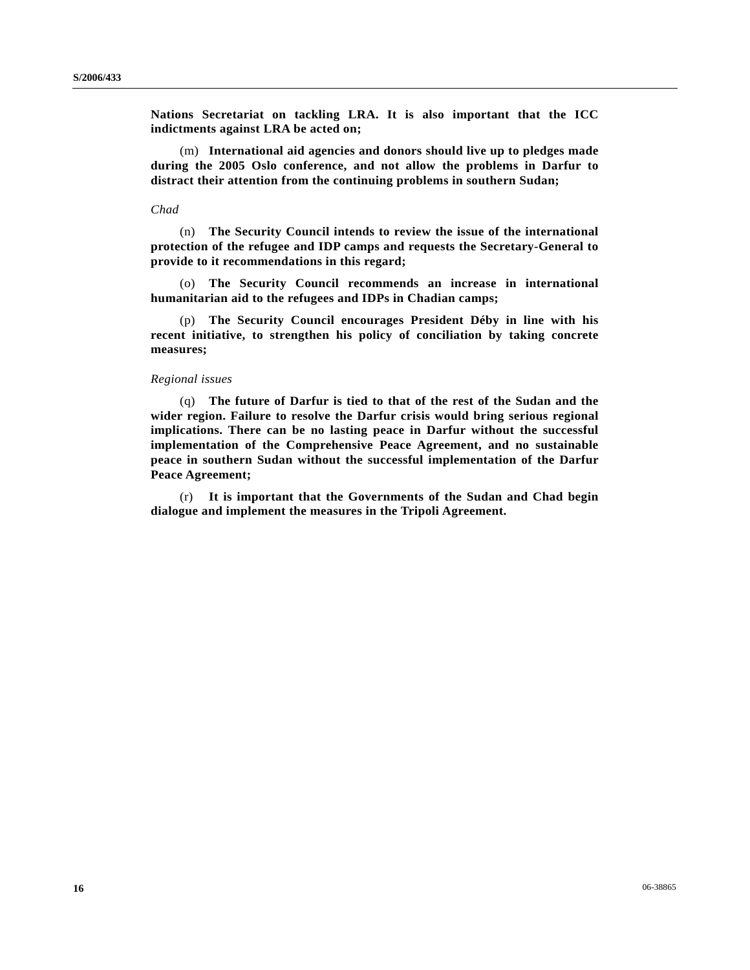**Nations Secretariat on tackling LRA. It is also important that the ICC indictments against LRA be acted on;** 

 (m) **International aid agencies and donors should live up to pledges made during the 2005 Oslo conference, and not allow the problems in Darfur to distract their attention from the continuing problems in southern Sudan;** 

#### *Chad*

 (n) **The Security Council intends to review the issue of the international protection of the refugee and IDP camps and requests the Secretary-General to provide to it recommendations in this regard;** 

 (o) **The Security Council recommends an increase in international humanitarian aid to the refugees and IDPs in Chadian camps;** 

(p) **The Security Council encourages President Déby in line with his recent initiative, to strengthen his policy of conciliation by taking concrete measures;** 

#### *Regional issues*

 (q) **The future of Darfur is tied to that of the rest of the Sudan and the wider region. Failure to resolve the Darfur crisis would bring serious regional implications. There can be no lasting peace in Darfur without the successful implementation of the Comprehensive Peace Agreement, and no sustainable peace in southern Sudan without the successful implementation of the Darfur Peace Agreement;** 

 (r) **It is important that the Governments of the Sudan and Chad begin dialogue and implement the measures in the Tripoli Agreement.**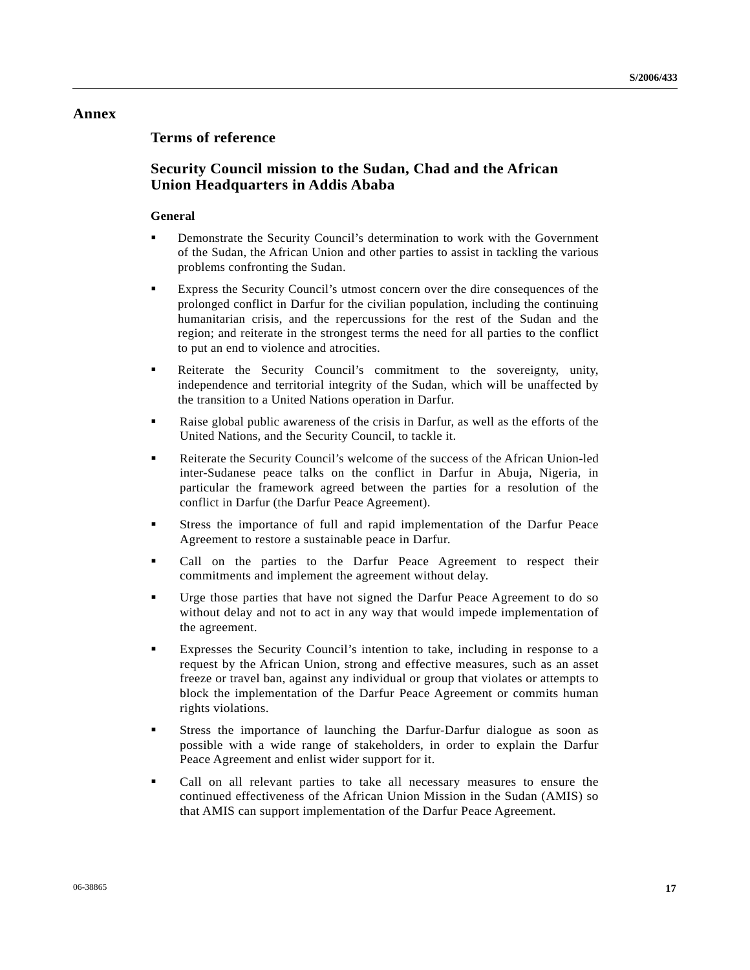# **Annex**

# **Terms of reference**

# **Security Council mission to the Sudan, Chad and the African Union Headquarters in Addis Ababa**

## **General**

- Demonstrate the Security Council's determination to work with the Government of the Sudan, the African Union and other parties to assist in tackling the various problems confronting the Sudan.
- Express the Security Council's utmost concern over the dire consequences of the prolonged conflict in Darfur for the civilian population, including the continuing humanitarian crisis, and the repercussions for the rest of the Sudan and the region; and reiterate in the strongest terms the need for all parties to the conflict to put an end to violence and atrocities.
- Reiterate the Security Council's commitment to the sovereignty, unity, independence and territorial integrity of the Sudan, which will be unaffected by the transition to a United Nations operation in Darfur.
- Raise global public awareness of the crisis in Darfur, as well as the efforts of the United Nations, and the Security Council, to tackle it.
- Reiterate the Security Council's welcome of the success of the African Union-led inter-Sudanese peace talks on the conflict in Darfur in Abuja, Nigeria, in particular the framework agreed between the parties for a resolution of the conflict in Darfur (the Darfur Peace Agreement).
- Stress the importance of full and rapid implementation of the Darfur Peace Agreement to restore a sustainable peace in Darfur.
- Call on the parties to the Darfur Peace Agreement to respect their commitments and implement the agreement without delay.
- Urge those parties that have not signed the Darfur Peace Agreement to do so without delay and not to act in any way that would impede implementation of the agreement.
- Expresses the Security Council's intention to take, including in response to a request by the African Union, strong and effective measures, such as an asset freeze or travel ban, against any individual or group that violates or attempts to block the implementation of the Darfur Peace Agreement or commits human rights violations.
- Stress the importance of launching the Darfur-Darfur dialogue as soon as possible with a wide range of stakeholders, in order to explain the Darfur Peace Agreement and enlist wider support for it.
- Call on all relevant parties to take all necessary measures to ensure the continued effectiveness of the African Union Mission in the Sudan (AMIS) so that AMIS can support implementation of the Darfur Peace Agreement.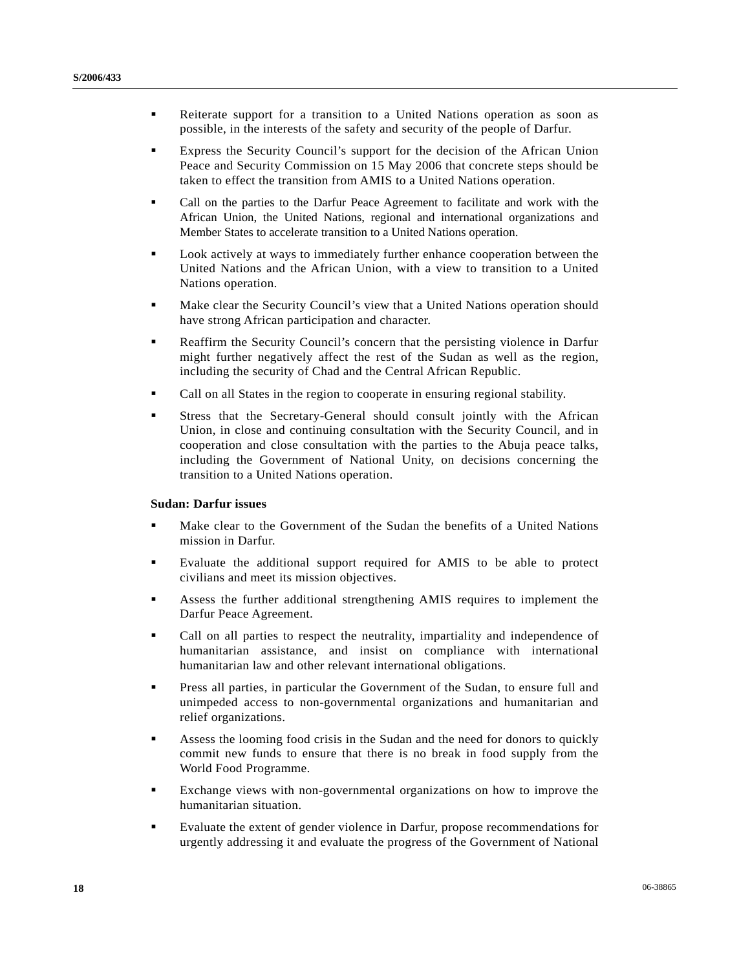- Reiterate support for a transition to a United Nations operation as soon as possible, in the interests of the safety and security of the people of Darfur.
- Express the Security Council's support for the decision of the African Union Peace and Security Commission on 15 May 2006 that concrete steps should be taken to effect the transition from AMIS to a United Nations operation.
- Call on the parties to the Darfur Peace Agreement to facilitate and work with the African Union, the United Nations, regional and international organizations and Member States to accelerate transition to a United Nations operation.
- Look actively at ways to immediately further enhance cooperation between the United Nations and the African Union, with a view to transition to a United Nations operation.
- **Make clear the Security Council's view that a United Nations operation should** have strong African participation and character.
- **Reaffirm the Security Council's concern that the persisting violence in Darfur** might further negatively affect the rest of the Sudan as well as the region, including the security of Chad and the Central African Republic.
- Call on all States in the region to cooperate in ensuring regional stability.
- Stress that the Secretary-General should consult jointly with the African Union, in close and continuing consultation with the Security Council, and in cooperation and close consultation with the parties to the Abuja peace talks, including the Government of National Unity, on decisions concerning the transition to a United Nations operation.

#### **Sudan: Darfur issues**

- **Make clear to the Government of the Sudan the benefits of a United Nations** mission in Darfur.
- Evaluate the additional support required for AMIS to be able to protect civilians and meet its mission objectives.
- Assess the further additional strengthening AMIS requires to implement the Darfur Peace Agreement.
- Call on all parties to respect the neutrality, impartiality and independence of humanitarian assistance, and insist on compliance with international humanitarian law and other relevant international obligations.
- Press all parties, in particular the Government of the Sudan, to ensure full and unimpeded access to non-governmental organizations and humanitarian and relief organizations.
- Assess the looming food crisis in the Sudan and the need for donors to quickly commit new funds to ensure that there is no break in food supply from the World Food Programme.
- Exchange views with non-governmental organizations on how to improve the humanitarian situation.
- Evaluate the extent of gender violence in Darfur, propose recommendations for urgently addressing it and evaluate the progress of the Government of National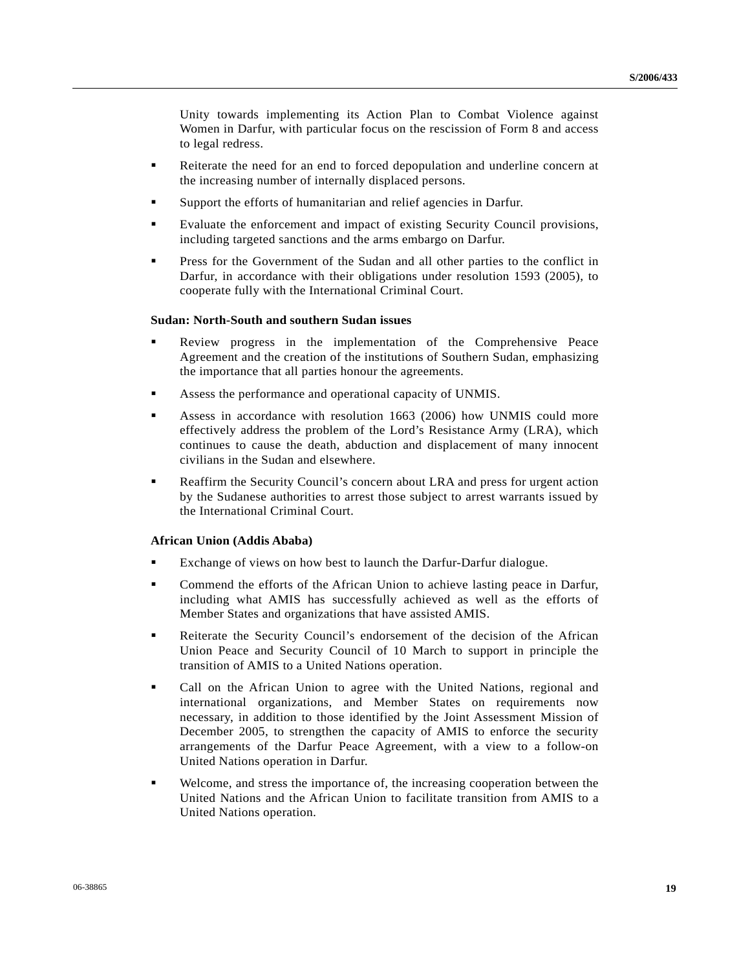Unity towards implementing its Action Plan to Combat Violence against Women in Darfur, with particular focus on the rescission of Form 8 and access to legal redress.

- Reiterate the need for an end to forced depopulation and underline concern at the increasing number of internally displaced persons.
- Support the efforts of humanitarian and relief agencies in Darfur.
- Evaluate the enforcement and impact of existing Security Council provisions, including targeted sanctions and the arms embargo on Darfur.
- **Press for the Government of the Sudan and all other parties to the conflict in** Darfur, in accordance with their obligations under resolution 1593 (2005), to cooperate fully with the International Criminal Court.

#### **Sudan: North-South and southern Sudan issues**

- Review progress in the implementation of the Comprehensive Peace Agreement and the creation of the institutions of Southern Sudan, emphasizing the importance that all parties honour the agreements.
- Assess the performance and operational capacity of UNMIS.
- Assess in accordance with resolution 1663 (2006) how UNMIS could more effectively address the problem of the Lord's Resistance Army (LRA), which continues to cause the death, abduction and displacement of many innocent civilians in the Sudan and elsewhere.
- Reaffirm the Security Council's concern about LRA and press for urgent action by the Sudanese authorities to arrest those subject to arrest warrants issued by the International Criminal Court.

#### **African Union (Addis Ababa)**

- Exchange of views on how best to launch the Darfur-Darfur dialogue.
- Commend the efforts of the African Union to achieve lasting peace in Darfur, including what AMIS has successfully achieved as well as the efforts of Member States and organizations that have assisted AMIS.
- Reiterate the Security Council's endorsement of the decision of the African Union Peace and Security Council of 10 March to support in principle the transition of AMIS to a United Nations operation.
- Call on the African Union to agree with the United Nations, regional and international organizations, and Member States on requirements now necessary, in addition to those identified by the Joint Assessment Mission of December 2005, to strengthen the capacity of AMIS to enforce the security arrangements of the Darfur Peace Agreement, with a view to a follow-on United Nations operation in Darfur.
- Welcome, and stress the importance of, the increasing cooperation between the United Nations and the African Union to facilitate transition from AMIS to a United Nations operation.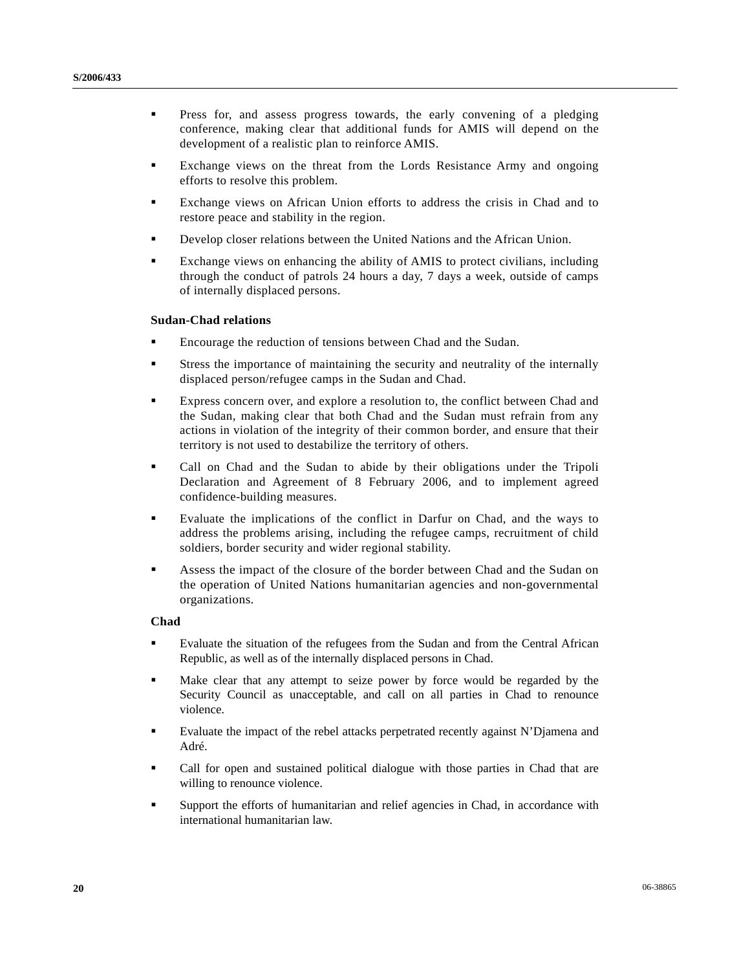- **Press for, and assess progress towards, the early convening of a pledging** conference, making clear that additional funds for AMIS will depend on the development of a realistic plan to reinforce AMIS.
- Exchange views on the threat from the Lords Resistance Army and ongoing efforts to resolve this problem.
- Exchange views on African Union efforts to address the crisis in Chad and to restore peace and stability in the region.
- Develop closer relations between the United Nations and the African Union.
- Exchange views on enhancing the ability of AMIS to protect civilians, including through the conduct of patrols 24 hours a day, 7 days a week, outside of camps of internally displaced persons.

#### **Sudan-Chad relations**

- Encourage the reduction of tensions between Chad and the Sudan.
- Stress the importance of maintaining the security and neutrality of the internally displaced person/refugee camps in the Sudan and Chad.
- Express concern over, and explore a resolution to, the conflict between Chad and the Sudan, making clear that both Chad and the Sudan must refrain from any actions in violation of the integrity of their common border, and ensure that their territory is not used to destabilize the territory of others.
- Call on Chad and the Sudan to abide by their obligations under the Tripoli Declaration and Agreement of 8 February 2006, and to implement agreed confidence-building measures.
- Evaluate the implications of the conflict in Darfur on Chad, and the ways to address the problems arising, including the refugee camps, recruitment of child soldiers, border security and wider regional stability.
- Assess the impact of the closure of the border between Chad and the Sudan on the operation of United Nations humanitarian agencies and non-governmental organizations.

#### **Chad**

- Evaluate the situation of the refugees from the Sudan and from the Central African Republic, as well as of the internally displaced persons in Chad.
- Make clear that any attempt to seize power by force would be regarded by the Security Council as unacceptable, and call on all parties in Chad to renounce violence.
- Evaluate the impact of the rebel attacks perpetrated recently against N'Djamena and Adré.
- Call for open and sustained political dialogue with those parties in Chad that are willing to renounce violence.
- Support the efforts of humanitarian and relief agencies in Chad, in accordance with international humanitarian law.